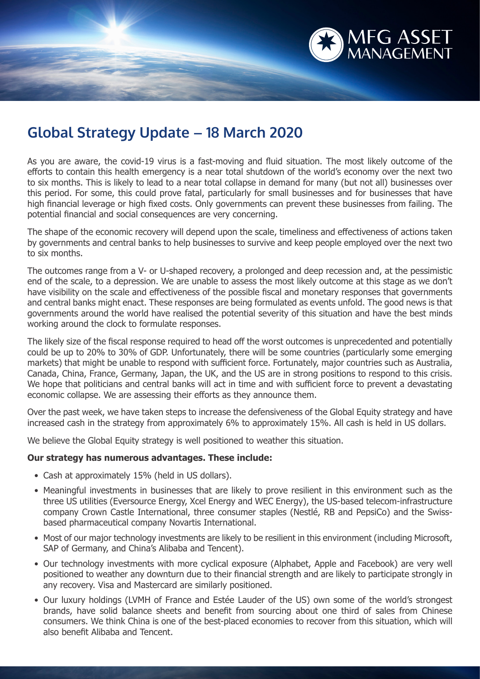

## **Global Strategy Update – 18 March 2020**

As you are aware, the covid-19 virus is a fast-moving and fluid situation. The most likely outcome of the efforts to contain this health emergency is a near total shutdown of the world's economy over the next two to six months. This is likely to lead to a near total collapse in demand for many (but not all) businesses over this period. For some, this could prove fatal, particularly for small businesses and for businesses that have high financial leverage or high fixed costs. Only governments can prevent these businesses from failing. The potential financial and social consequences are very concerning.

The shape of the economic recovery will depend upon the scale, timeliness and effectiveness of actions taken by governments and central banks to help businesses to survive and keep people employed over the next two to six months.

The outcomes range from a V- or U-shaped recovery, a prolonged and deep recession and, at the pessimistic end of the scale, to a depression. We are unable to assess the most likely outcome at this stage as we don't have visibility on the scale and effectiveness of the possible fiscal and monetary responses that governments and central banks might enact. These responses are being formulated as events unfold. The good news is that governments around the world have realised the potential severity of this situation and have the best minds working around the clock to formulate responses.

The likely size of the fiscal response required to head off the worst outcomes is unprecedented and potentially could be up to 20% to 30% of GDP. Unfortunately, there will be some countries (particularly some emerging markets) that might be unable to respond with sufficient force. Fortunately, major countries such as Australia, Canada, China, France, Germany, Japan, the UK, and the US are in strong positions to respond to this crisis. We hope that politicians and central banks will act in time and with sufficient force to prevent a devastating economic collapse. We are assessing their efforts as they announce them.

Over the past week, we have taken steps to increase the defensiveness of the Global Equity strategy and have increased cash in the strategy from approximately 6% to approximately 15%. All cash is held in US dollars.

We believe the Global Equity strategy is well positioned to weather this situation.

## **Our strategy has numerous advantages. These include:**

- Cash at approximately 15% (held in US dollars).
- Meaningful investments in businesses that are likely to prove resilient in this environment such as the three US utilities (Eversource Energy, Xcel Energy and WEC Energy), the US-based telecom-infrastructure company Crown Castle International, three consumer staples (Nestlé, RB and PepsiCo) and the Swissbased pharmaceutical company Novartis International.
- Most of our major technology investments are likely to be resilient in this environment (including Microsoft, SAP of Germany, and China's Alibaba and Tencent).
- Our technology investments with more cyclical exposure (Alphabet, Apple and Facebook) are very well positioned to weather any downturn due to their financial strength and are likely to participate strongly in any recovery. Visa and Mastercard are similarly positioned.
- Our luxury holdings (LVMH of France and Estée Lauder of the US) own some of the world's strongest brands, have solid balance sheets and benefit from sourcing about one third of sales from Chinese consumers. We think China is one of the best-placed economies to recover from this situation, which will also benefit Alibaba and Tencent.